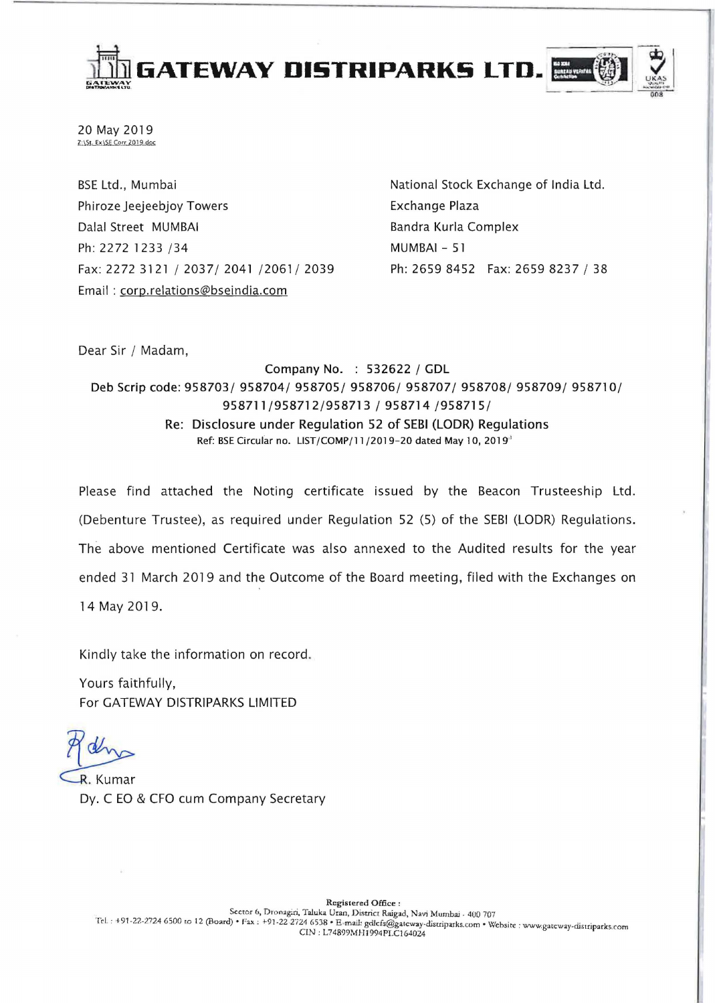

20 May 2019  $Z:\S$ t. Ex $\S$ E Corr 2019.doc

BSE Ltd., Mumbai Phiroze Jeejeebjoy Towers Dalal Street MUMBAI Ph: 2272 1233 /34 Fax: 2272 3121/2037/2041/2061/2039 Email : corp.relations@bseindia.com

National Stock Exchange of India Ltd. Exchange Plaza Bandra Kurla Complex MUMBAI - 51 Ph: 2659 8452 Fax: 2659 8237 / 38

Dear Sir / Madam,

Company No. : 532622 / GDL Deb Scrip code: 958703/ 958704/ 958705/ 958706/ 958707/ 958708/ 958709/ 958710/ 958711/958712/958713 / 958714 /958715/ Re: Disclosure under Regulation 52 of SEBI (LODR) Regulations Ref: BSE Circular no. LIST/COMP/11/2019-20 dated May 10, 2019<sup>3</sup>

Please find attached the Noting certificate issued by the Beacon Trusteeship Ltd. (Debenture Trustee), as required under Regulation 52 (5) of the SEBI (LODR) Regulations. The above mentioned Certificate was also annexed to the Audited results for the year ended 31 March 2019 and the Outcome of the Board meeting, filed with the Exchanges on 14 May 2019.

Kindly take the information on record .

Yours faithfully, For GATEWAY DISTRIPARKS LIMITED

R. Kumar Dy. C EO & CFO cum Company Secretary